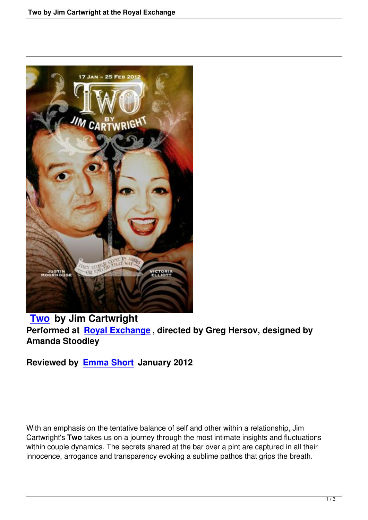

## **Two by Jim Cartwright Performed at Royal Exchange , directed by Greg Hersov, designed by [Aman](two-jim-cartwright-royal-exchange.html)da Stoodley**

**Reviewed by [Emma Short Jan](http://www.royalexchange.org.uk/)uary 2012**

With an emphasis on the tentative balance of self and other within a relationship, Jim Cartwright's **Two** takes us on a journey through the most intimate insights and fluctuations within couple dynamics. The secrets shared at the bar over a pint are captured in all their innocence, arrogance and transparency evoking a sublime pathos that grips the breath.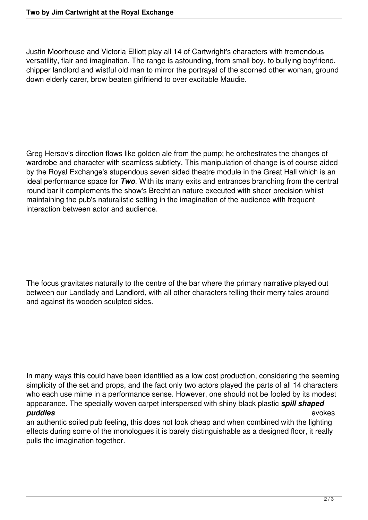Justin Moorhouse and Victoria Elliott play all 14 of Cartwright's characters with tremendous versatility, flair and imagination. The range is astounding, from small boy, to bullying boyfriend, chipper landlord and wistful old man to mirror the portrayal of the scorned other woman, ground down elderly carer, brow beaten girlfriend to over excitable Maudie.

Greg Hersov's direction flows like golden ale from the pump; he orchestrates the changes of wardrobe and character with seamless subtlety. This manipulation of change is of course aided by the Royal Exchange's stupendous seven sided theatre module in the Great Hall which is an ideal performance space for *Two*. With its many exits and entrances branching from the central round bar it complements the show's Brechtian nature executed with sheer precision whilst maintaining the pub's naturalistic setting in the imagination of the audience with frequent interaction between actor and audience.

The focus gravitates naturally to the centre of the bar where the primary narrative played out between our Landlady and Landlord, with all other characters telling their merry tales around and against its wooden sculpted sides.

In many ways this could have been identified as a low cost production, considering the seeming simplicity of the set and props, and the fact only two actors played the parts of all 14 characters who each use mime in a performance sense. However, one should not be fooled by its modest appearance. The specially woven carpet interspersed with shiny black plastic *spill shaped puddles* evokes

an authentic soiled pub feeling, this does not look cheap and when combined with the lighting effects during some of the monologues it is barely distinguishable as a designed floor, it really pulls the imagination together.